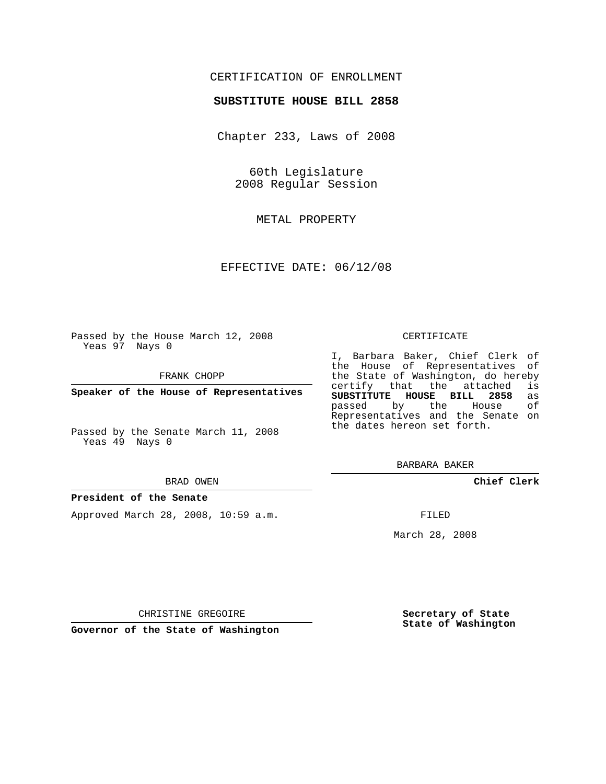# CERTIFICATION OF ENROLLMENT

## **SUBSTITUTE HOUSE BILL 2858**

Chapter 233, Laws of 2008

60th Legislature 2008 Regular Session

METAL PROPERTY

EFFECTIVE DATE: 06/12/08

Passed by the House March 12, 2008 Yeas 97 Nays 0

FRANK CHOPP

**Speaker of the House of Representatives**

Passed by the Senate March 11, 2008 Yeas 49 Nays 0

#### BRAD OWEN

### **President of the Senate**

Approved March 28, 2008, 10:59 a.m.

#### CERTIFICATE

I, Barbara Baker, Chief Clerk of the House of Representatives of the State of Washington, do hereby<br>certify that the attached is certify that the attached **SUBSTITUTE HOUSE BILL 2858** as passed by the House Representatives and the Senate on the dates hereon set forth.

BARBARA BAKER

**Chief Clerk**

FILED

March 28, 2008

**Secretary of State State of Washington**

CHRISTINE GREGOIRE

**Governor of the State of Washington**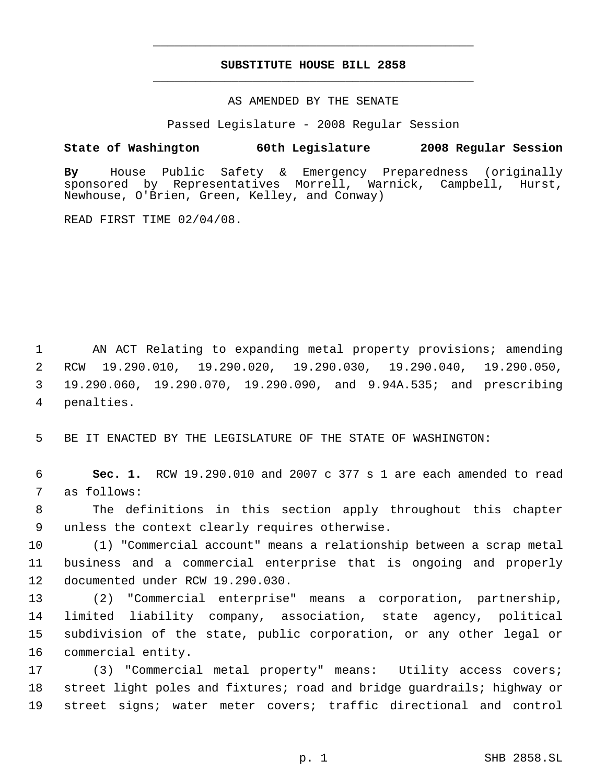# **SUBSTITUTE HOUSE BILL 2858** \_\_\_\_\_\_\_\_\_\_\_\_\_\_\_\_\_\_\_\_\_\_\_\_\_\_\_\_\_\_\_\_\_\_\_\_\_\_\_\_\_\_\_\_\_

\_\_\_\_\_\_\_\_\_\_\_\_\_\_\_\_\_\_\_\_\_\_\_\_\_\_\_\_\_\_\_\_\_\_\_\_\_\_\_\_\_\_\_\_\_

## AS AMENDED BY THE SENATE

Passed Legislature - 2008 Regular Session

# **State of Washington 60th Legislature 2008 Regular Session**

**By** House Public Safety & Emergency Preparedness (originally sponsored by Representatives Morrell, Warnick, Campbell, Hurst, Newhouse, O'Brien, Green, Kelley, and Conway)

READ FIRST TIME 02/04/08.

 AN ACT Relating to expanding metal property provisions; amending RCW 19.290.010, 19.290.020, 19.290.030, 19.290.040, 19.290.050, 19.290.060, 19.290.070, 19.290.090, and 9.94A.535; and prescribing penalties.

BE IT ENACTED BY THE LEGISLATURE OF THE STATE OF WASHINGTON:

 **Sec. 1.** RCW 19.290.010 and 2007 c 377 s 1 are each amended to read as follows:

 The definitions in this section apply throughout this chapter unless the context clearly requires otherwise.

 (1) "Commercial account" means a relationship between a scrap metal business and a commercial enterprise that is ongoing and properly documented under RCW 19.290.030.

 (2) "Commercial enterprise" means a corporation, partnership, limited liability company, association, state agency, political subdivision of the state, public corporation, or any other legal or commercial entity.

 (3) "Commercial metal property" means: Utility access covers; street light poles and fixtures; road and bridge guardrails; highway or street signs; water meter covers; traffic directional and control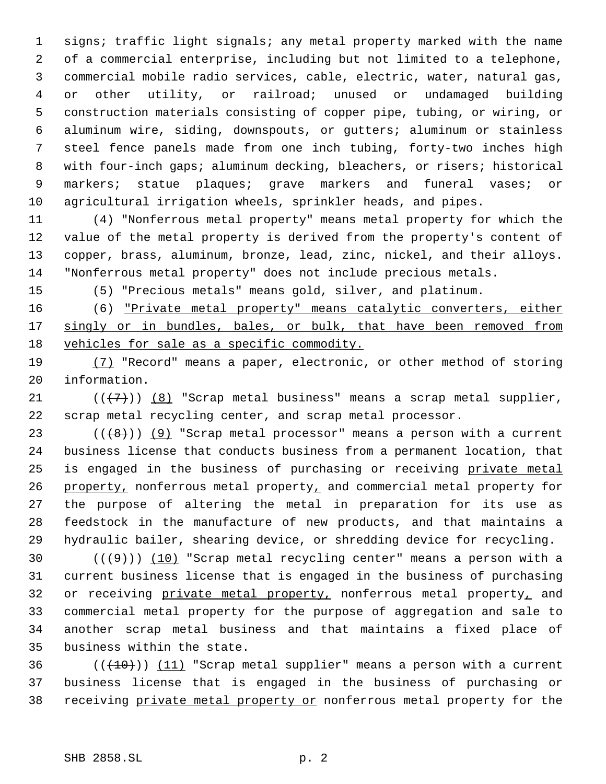signs; traffic light signals; any metal property marked with the name of a commercial enterprise, including but not limited to a telephone, commercial mobile radio services, cable, electric, water, natural gas, or other utility, or railroad; unused or undamaged building construction materials consisting of copper pipe, tubing, or wiring, or aluminum wire, siding, downspouts, or gutters; aluminum or stainless steel fence panels made from one inch tubing, forty-two inches high with four-inch gaps; aluminum decking, bleachers, or risers; historical markers; statue plaques; grave markers and funeral vases; or agricultural irrigation wheels, sprinkler heads, and pipes.

 (4) "Nonferrous metal property" means metal property for which the value of the metal property is derived from the property's content of copper, brass, aluminum, bronze, lead, zinc, nickel, and their alloys. "Nonferrous metal property" does not include precious metals.

(5) "Precious metals" means gold, silver, and platinum.

 (6) "Private metal property" means catalytic converters, either 17 singly or in bundles, bales, or bulk, that have been removed from vehicles for sale as a specific commodity.

19 (7) "Record" means a paper, electronic, or other method of storing information.

21  $((+7))$   $(8)$  "Scrap metal business" means a scrap metal supplier, scrap metal recycling center, and scrap metal processor.

 $((+8))$   $(9)$  "Scrap metal processor" means a person with a current business license that conducts business from a permanent location, that 25 is engaged in the business of purchasing or receiving private metal 26 property, nonferrous metal property, and commercial metal property for the purpose of altering the metal in preparation for its use as feedstock in the manufacture of new products, and that maintains a hydraulic bailer, shearing device, or shredding device for recycling.

 $((+9))$   $(10)$  "Scrap metal recycling center" means a person with a current business license that is engaged in the business of purchasing 32 or receiving private metal property, nonferrous metal property, and commercial metal property for the purpose of aggregation and sale to another scrap metal business and that maintains a fixed place of business within the state.

36  $((+10))$   $(11)$  "Scrap metal supplier" means a person with a current business license that is engaged in the business of purchasing or receiving private metal property or nonferrous metal property for the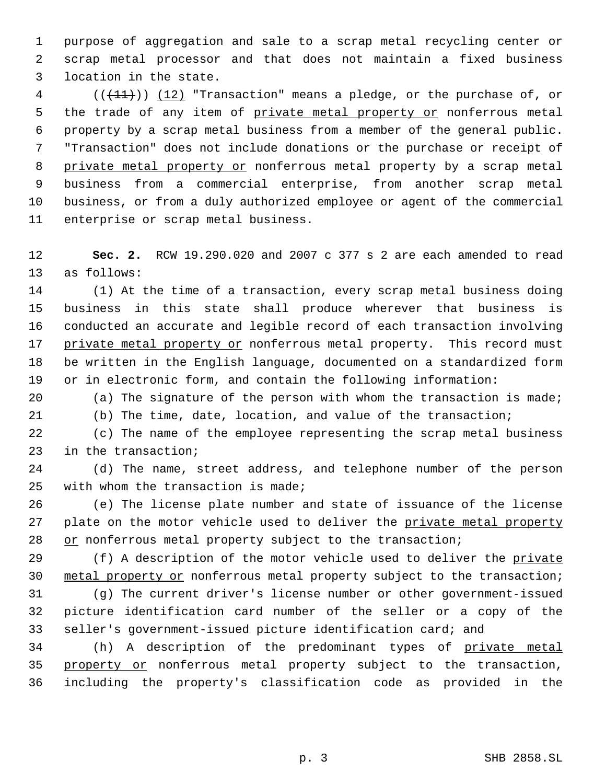purpose of aggregation and sale to a scrap metal recycling center or scrap metal processor and that does not maintain a fixed business location in the state.

 (( $(11)$ )) (12) "Transaction" means a pledge, or the purchase of, or 5 the trade of any item of private metal property or nonferrous metal property by a scrap metal business from a member of the general public. "Transaction" does not include donations or the purchase or receipt of 8 private metal property or nonferrous metal property by a scrap metal business from a commercial enterprise, from another scrap metal business, or from a duly authorized employee or agent of the commercial enterprise or scrap metal business.

 **Sec. 2.** RCW 19.290.020 and 2007 c 377 s 2 are each amended to read as follows:

 (1) At the time of a transaction, every scrap metal business doing business in this state shall produce wherever that business is conducted an accurate and legible record of each transaction involving 17 private metal property or nonferrous metal property. This record must be written in the English language, documented on a standardized form or in electronic form, and contain the following information:

 (a) The signature of the person with whom the transaction is made; (b) The time, date, location, and value of the transaction;

 (c) The name of the employee representing the scrap metal business in the transaction;

 (d) The name, street address, and telephone number of the person with whom the transaction is made;

 (e) The license plate number and state of issuance of the license 27 plate on the motor vehicle used to deliver the private metal property 28 or nonferrous metal property subject to the transaction;

29 (f) A description of the motor vehicle used to deliver the private 30 metal property or nonferrous metal property subject to the transaction;

 (g) The current driver's license number or other government-issued picture identification card number of the seller or a copy of the seller's government-issued picture identification card; and

34 (h) A description of the predominant types of private metal 35 property or nonferrous metal property subject to the transaction, including the property's classification code as provided in the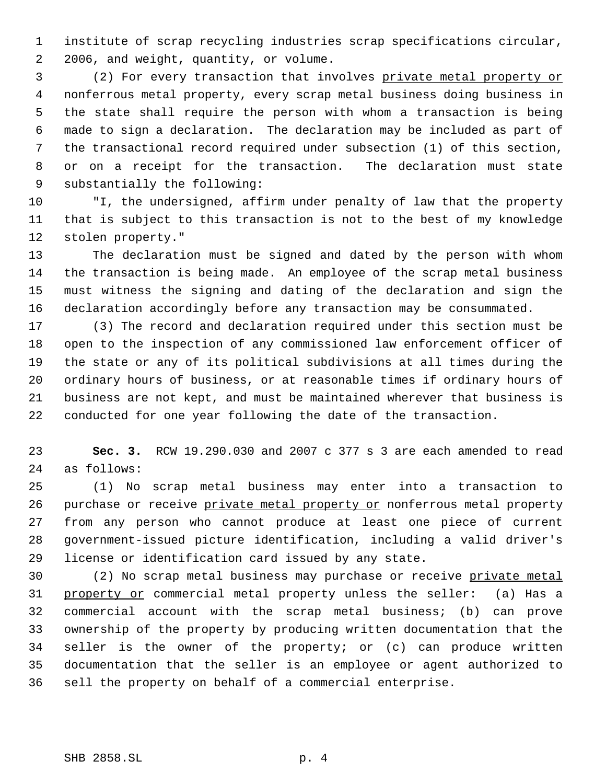institute of scrap recycling industries scrap specifications circular, 2006, and weight, quantity, or volume.

 (2) For every transaction that involves private metal property or nonferrous metal property, every scrap metal business doing business in the state shall require the person with whom a transaction is being made to sign a declaration. The declaration may be included as part of the transactional record required under subsection (1) of this section, or on a receipt for the transaction. The declaration must state substantially the following:

 "I, the undersigned, affirm under penalty of law that the property that is subject to this transaction is not to the best of my knowledge stolen property."

 The declaration must be signed and dated by the person with whom the transaction is being made. An employee of the scrap metal business must witness the signing and dating of the declaration and sign the declaration accordingly before any transaction may be consummated.

 (3) The record and declaration required under this section must be open to the inspection of any commissioned law enforcement officer of the state or any of its political subdivisions at all times during the ordinary hours of business, or at reasonable times if ordinary hours of business are not kept, and must be maintained wherever that business is conducted for one year following the date of the transaction.

 **Sec. 3.** RCW 19.290.030 and 2007 c 377 s 3 are each amended to read as follows:

 (1) No scrap metal business may enter into a transaction to 26 purchase or receive private metal property or nonferrous metal property from any person who cannot produce at least one piece of current government-issued picture identification, including a valid driver's license or identification card issued by any state.

30 (2) No scrap metal business may purchase or receive private metal 31 property or commercial metal property unless the seller: (a) Has a commercial account with the scrap metal business; (b) can prove ownership of the property by producing written documentation that the seller is the owner of the property; or (c) can produce written documentation that the seller is an employee or agent authorized to sell the property on behalf of a commercial enterprise.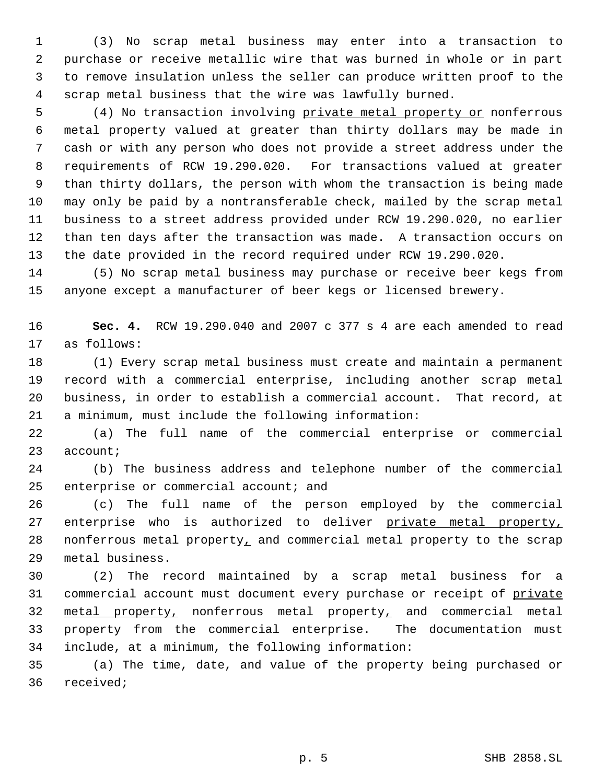(3) No scrap metal business may enter into a transaction to purchase or receive metallic wire that was burned in whole or in part to remove insulation unless the seller can produce written proof to the scrap metal business that the wire was lawfully burned.

 (4) No transaction involving private metal property or nonferrous metal property valued at greater than thirty dollars may be made in cash or with any person who does not provide a street address under the requirements of RCW 19.290.020. For transactions valued at greater than thirty dollars, the person with whom the transaction is being made may only be paid by a nontransferable check, mailed by the scrap metal business to a street address provided under RCW 19.290.020, no earlier than ten days after the transaction was made. A transaction occurs on the date provided in the record required under RCW 19.290.020.

 (5) No scrap metal business may purchase or receive beer kegs from anyone except a manufacturer of beer kegs or licensed brewery.

 **Sec. 4.** RCW 19.290.040 and 2007 c 377 s 4 are each amended to read as follows:

 (1) Every scrap metal business must create and maintain a permanent record with a commercial enterprise, including another scrap metal business, in order to establish a commercial account. That record, at a minimum, must include the following information:

 (a) The full name of the commercial enterprise or commercial account;

 (b) The business address and telephone number of the commercial 25 enterprise or commercial account; and

 (c) The full name of the person employed by the commercial 27 enterprise who is authorized to deliver private metal property, 28 nonferrous metal property, and commercial metal property to the scrap metal business.

 (2) The record maintained by a scrap metal business for a 31 commercial account must document every purchase or receipt of private metal property, nonferrous metal property, and commercial metal property from the commercial enterprise. The documentation must include, at a minimum, the following information:

 (a) The time, date, and value of the property being purchased or received;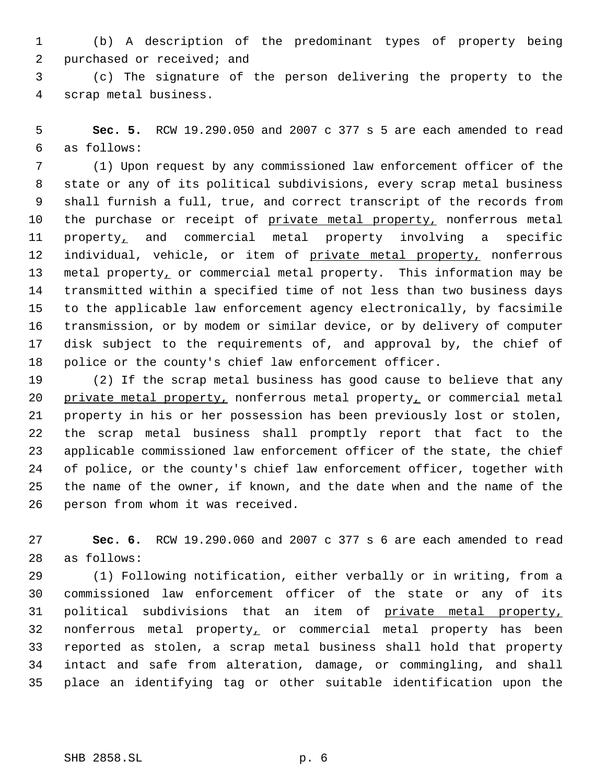(b) A description of the predominant types of property being purchased or received; and

 (c) The signature of the person delivering the property to the scrap metal business.

 **Sec. 5.** RCW 19.290.050 and 2007 c 377 s 5 are each amended to read as follows:

 (1) Upon request by any commissioned law enforcement officer of the state or any of its political subdivisions, every scrap metal business shall furnish a full, true, and correct transcript of the records from 10 the purchase or receipt of private metal property, nonferrous metal property, and commercial metal property involving a specific 12 individual, vehicle, or item of private metal property, nonferrous 13 metal property, or commercial metal property. This information may be transmitted within a specified time of not less than two business days to the applicable law enforcement agency electronically, by facsimile transmission, or by modem or similar device, or by delivery of computer disk subject to the requirements of, and approval by, the chief of police or the county's chief law enforcement officer.

 (2) If the scrap metal business has good cause to believe that any 20 private metal property, nonferrous metal property, or commercial metal property in his or her possession has been previously lost or stolen, the scrap metal business shall promptly report that fact to the applicable commissioned law enforcement officer of the state, the chief of police, or the county's chief law enforcement officer, together with the name of the owner, if known, and the date when and the name of the person from whom it was received.

 **Sec. 6.** RCW 19.290.060 and 2007 c 377 s 6 are each amended to read as follows:

 (1) Following notification, either verbally or in writing, from a commissioned law enforcement officer of the state or any of its 31 political subdivisions that an item of private metal property, nonferrous metal property, or commercial metal property has been reported as stolen, a scrap metal business shall hold that property intact and safe from alteration, damage, or commingling, and shall place an identifying tag or other suitable identification upon the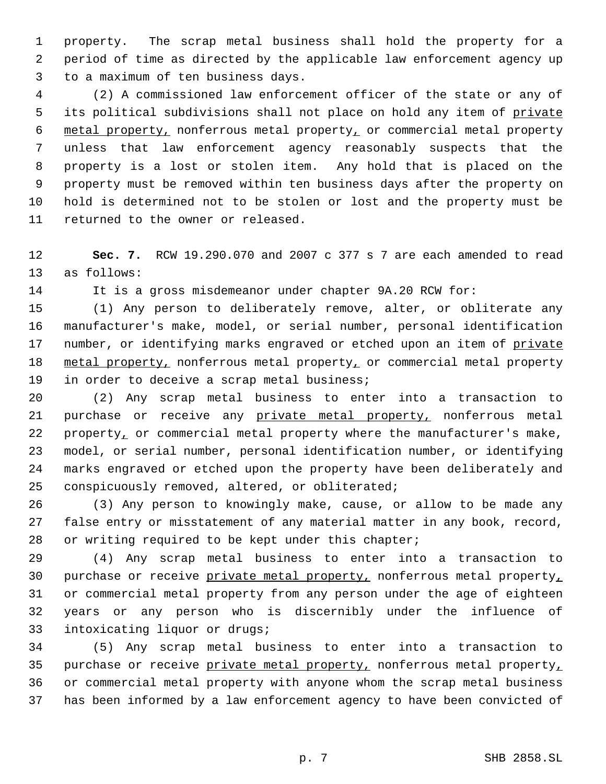property. The scrap metal business shall hold the property for a period of time as directed by the applicable law enforcement agency up to a maximum of ten business days.

 (2) A commissioned law enforcement officer of the state or any of 5 its political subdivisions shall not place on hold any item of private metal property, nonferrous metal property, or commercial metal property unless that law enforcement agency reasonably suspects that the property is a lost or stolen item. Any hold that is placed on the property must be removed within ten business days after the property on hold is determined not to be stolen or lost and the property must be returned to the owner or released.

 **Sec. 7.** RCW 19.290.070 and 2007 c 377 s 7 are each amended to read as follows:

It is a gross misdemeanor under chapter 9A.20 RCW for:

 (1) Any person to deliberately remove, alter, or obliterate any manufacturer's make, model, or serial number, personal identification 17 number, or identifying marks engraved or etched upon an item of private 18 metal property, nonferrous metal property, or commercial metal property in order to deceive a scrap metal business;

 (2) Any scrap metal business to enter into a transaction to 21 purchase or receive any private metal property, nonferrous metal 22 property<sub>1</sub> or commercial metal property where the manufacturer's make, model, or serial number, personal identification number, or identifying marks engraved or etched upon the property have been deliberately and conspicuously removed, altered, or obliterated;

 (3) Any person to knowingly make, cause, or allow to be made any false entry or misstatement of any material matter in any book, record, or writing required to be kept under this chapter;

 (4) Any scrap metal business to enter into a transaction to 30 purchase or receive private metal property, nonferrous metal property, or commercial metal property from any person under the age of eighteen years or any person who is discernibly under the influence of intoxicating liquor or drugs;

 (5) Any scrap metal business to enter into a transaction to 35 purchase or receive private metal property, nonferrous metal property, or commercial metal property with anyone whom the scrap metal business has been informed by a law enforcement agency to have been convicted of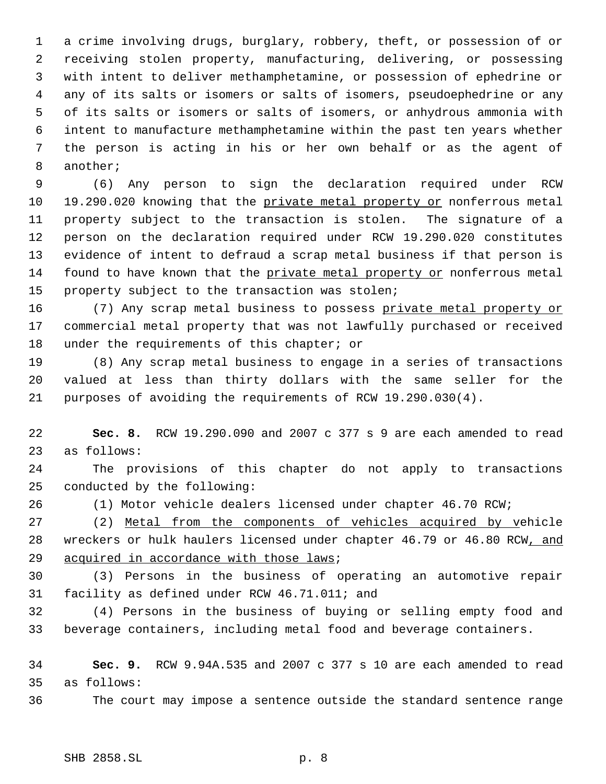a crime involving drugs, burglary, robbery, theft, or possession of or receiving stolen property, manufacturing, delivering, or possessing with intent to deliver methamphetamine, or possession of ephedrine or any of its salts or isomers or salts of isomers, pseudoephedrine or any of its salts or isomers or salts of isomers, or anhydrous ammonia with intent to manufacture methamphetamine within the past ten years whether the person is acting in his or her own behalf or as the agent of another;

 (6) Any person to sign the declaration required under RCW 10 19.290.020 knowing that the private metal property or nonferrous metal property subject to the transaction is stolen. The signature of a person on the declaration required under RCW 19.290.020 constitutes evidence of intent to defraud a scrap metal business if that person is found to have known that the private metal property or nonferrous metal property subject to the transaction was stolen;

16 (7) Any scrap metal business to possess private metal property or commercial metal property that was not lawfully purchased or received 18 under the requirements of this chapter; or

 (8) Any scrap metal business to engage in a series of transactions valued at less than thirty dollars with the same seller for the purposes of avoiding the requirements of RCW 19.290.030(4).

 **Sec. 8.** RCW 19.290.090 and 2007 c 377 s 9 are each amended to read as follows:

 The provisions of this chapter do not apply to transactions conducted by the following:

(1) Motor vehicle dealers licensed under chapter 46.70 RCW;

 (2) Metal from the components of vehicles acquired by vehicle wreckers or hulk haulers licensed under chapter 46.79 or 46.80 RCW, and 29 acquired in accordance with those laws;

 (3) Persons in the business of operating an automotive repair facility as defined under RCW 46.71.011; and

 (4) Persons in the business of buying or selling empty food and beverage containers, including metal food and beverage containers.

 **Sec. 9.** RCW 9.94A.535 and 2007 c 377 s 10 are each amended to read as follows:

The court may impose a sentence outside the standard sentence range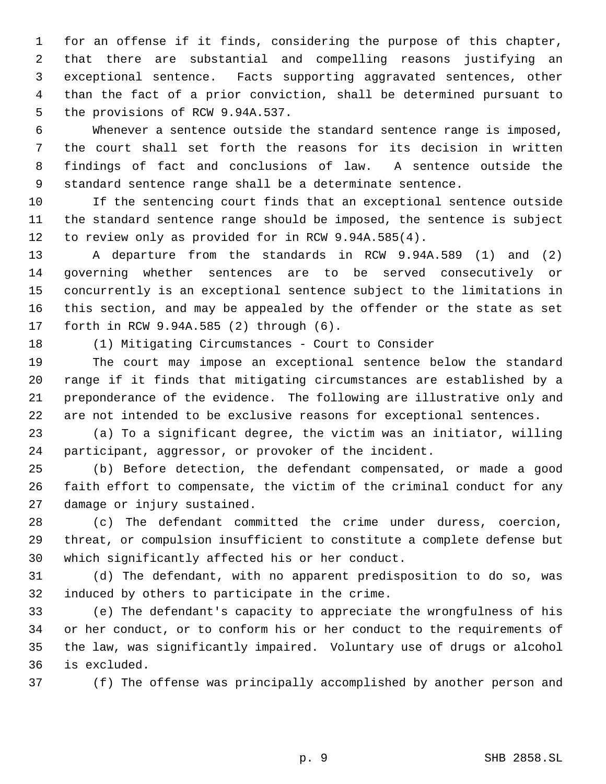for an offense if it finds, considering the purpose of this chapter, that there are substantial and compelling reasons justifying an exceptional sentence. Facts supporting aggravated sentences, other than the fact of a prior conviction, shall be determined pursuant to the provisions of RCW 9.94A.537.

 Whenever a sentence outside the standard sentence range is imposed, the court shall set forth the reasons for its decision in written findings of fact and conclusions of law. A sentence outside the standard sentence range shall be a determinate sentence.

 If the sentencing court finds that an exceptional sentence outside the standard sentence range should be imposed, the sentence is subject to review only as provided for in RCW 9.94A.585(4).

 A departure from the standards in RCW 9.94A.589 (1) and (2) governing whether sentences are to be served consecutively or concurrently is an exceptional sentence subject to the limitations in this section, and may be appealed by the offender or the state as set forth in RCW 9.94A.585 (2) through (6).

(1) Mitigating Circumstances - Court to Consider

 The court may impose an exceptional sentence below the standard range if it finds that mitigating circumstances are established by a preponderance of the evidence. The following are illustrative only and are not intended to be exclusive reasons for exceptional sentences.

 (a) To a significant degree, the victim was an initiator, willing participant, aggressor, or provoker of the incident.

 (b) Before detection, the defendant compensated, or made a good faith effort to compensate, the victim of the criminal conduct for any damage or injury sustained.

 (c) The defendant committed the crime under duress, coercion, threat, or compulsion insufficient to constitute a complete defense but which significantly affected his or her conduct.

 (d) The defendant, with no apparent predisposition to do so, was induced by others to participate in the crime.

 (e) The defendant's capacity to appreciate the wrongfulness of his or her conduct, or to conform his or her conduct to the requirements of the law, was significantly impaired. Voluntary use of drugs or alcohol is excluded.

(f) The offense was principally accomplished by another person and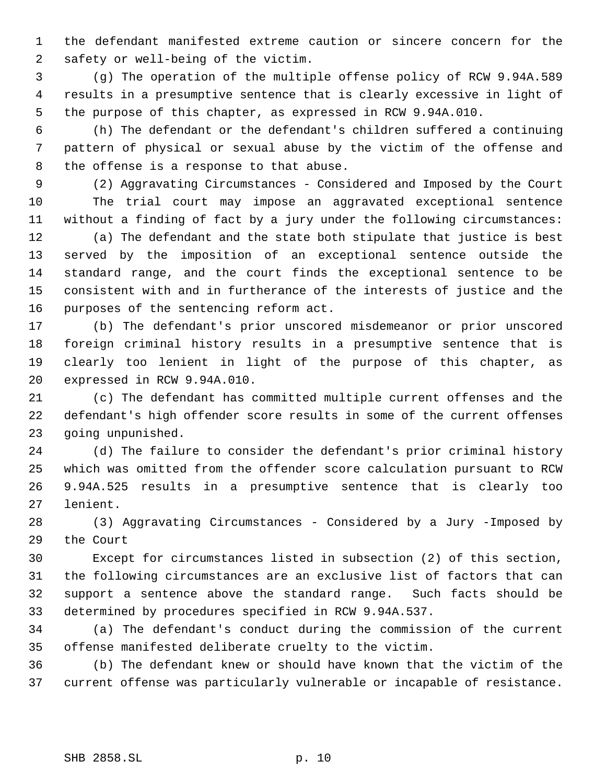the defendant manifested extreme caution or sincere concern for the safety or well-being of the victim.

 (g) The operation of the multiple offense policy of RCW 9.94A.589 results in a presumptive sentence that is clearly excessive in light of the purpose of this chapter, as expressed in RCW 9.94A.010.

 (h) The defendant or the defendant's children suffered a continuing pattern of physical or sexual abuse by the victim of the offense and the offense is a response to that abuse.

 (2) Aggravating Circumstances - Considered and Imposed by the Court The trial court may impose an aggravated exceptional sentence without a finding of fact by a jury under the following circumstances: (a) The defendant and the state both stipulate that justice is best served by the imposition of an exceptional sentence outside the standard range, and the court finds the exceptional sentence to be consistent with and in furtherance of the interests of justice and the purposes of the sentencing reform act.

 (b) The defendant's prior unscored misdemeanor or prior unscored foreign criminal history results in a presumptive sentence that is clearly too lenient in light of the purpose of this chapter, as expressed in RCW 9.94A.010.

 (c) The defendant has committed multiple current offenses and the defendant's high offender score results in some of the current offenses going unpunished.

 (d) The failure to consider the defendant's prior criminal history which was omitted from the offender score calculation pursuant to RCW 9.94A.525 results in a presumptive sentence that is clearly too lenient.

 (3) Aggravating Circumstances - Considered by a Jury -Imposed by the Court

 Except for circumstances listed in subsection (2) of this section, the following circumstances are an exclusive list of factors that can support a sentence above the standard range. Such facts should be determined by procedures specified in RCW 9.94A.537.

 (a) The defendant's conduct during the commission of the current offense manifested deliberate cruelty to the victim.

 (b) The defendant knew or should have known that the victim of the current offense was particularly vulnerable or incapable of resistance.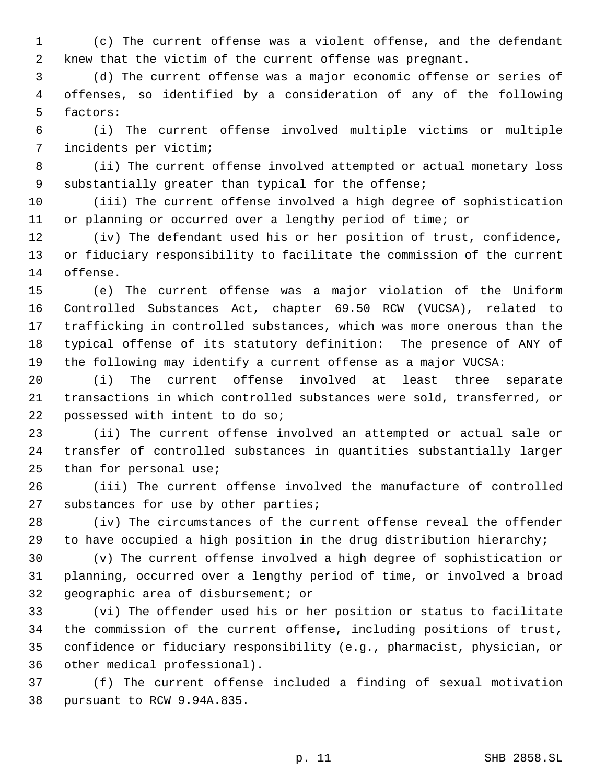(c) The current offense was a violent offense, and the defendant knew that the victim of the current offense was pregnant.

 (d) The current offense was a major economic offense or series of offenses, so identified by a consideration of any of the following factors:

 (i) The current offense involved multiple victims or multiple incidents per victim;

 (ii) The current offense involved attempted or actual monetary loss substantially greater than typical for the offense;

 (iii) The current offense involved a high degree of sophistication or planning or occurred over a lengthy period of time; or

 (iv) The defendant used his or her position of trust, confidence, or fiduciary responsibility to facilitate the commission of the current offense.

 (e) The current offense was a major violation of the Uniform Controlled Substances Act, chapter 69.50 RCW (VUCSA), related to trafficking in controlled substances, which was more onerous than the typical offense of its statutory definition: The presence of ANY of the following may identify a current offense as a major VUCSA:

 (i) The current offense involved at least three separate transactions in which controlled substances were sold, transferred, or possessed with intent to do so;

 (ii) The current offense involved an attempted or actual sale or transfer of controlled substances in quantities substantially larger than for personal use;

 (iii) The current offense involved the manufacture of controlled substances for use by other parties;

 (iv) The circumstances of the current offense reveal the offender to have occupied a high position in the drug distribution hierarchy;

 (v) The current offense involved a high degree of sophistication or planning, occurred over a lengthy period of time, or involved a broad geographic area of disbursement; or

 (vi) The offender used his or her position or status to facilitate the commission of the current offense, including positions of trust, confidence or fiduciary responsibility (e.g., pharmacist, physician, or other medical professional).

 (f) The current offense included a finding of sexual motivation pursuant to RCW 9.94A.835.

p. 11 SHB 2858.SL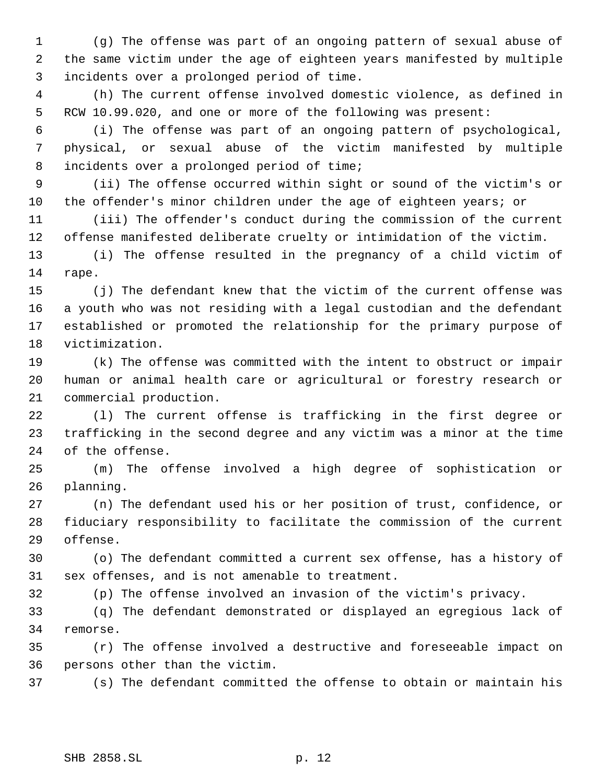(g) The offense was part of an ongoing pattern of sexual abuse of the same victim under the age of eighteen years manifested by multiple incidents over a prolonged period of time.

 (h) The current offense involved domestic violence, as defined in RCW 10.99.020, and one or more of the following was present:

 (i) The offense was part of an ongoing pattern of psychological, physical, or sexual abuse of the victim manifested by multiple incidents over a prolonged period of time;

 (ii) The offense occurred within sight or sound of the victim's or 10 the offender's minor children under the age of eighteen years; or

 (iii) The offender's conduct during the commission of the current offense manifested deliberate cruelty or intimidation of the victim.

 (i) The offense resulted in the pregnancy of a child victim of rape.

 (j) The defendant knew that the victim of the current offense was a youth who was not residing with a legal custodian and the defendant established or promoted the relationship for the primary purpose of victimization.

 (k) The offense was committed with the intent to obstruct or impair human or animal health care or agricultural or forestry research or commercial production.

 (l) The current offense is trafficking in the first degree or trafficking in the second degree and any victim was a minor at the time of the offense.

 (m) The offense involved a high degree of sophistication or planning.

 (n) The defendant used his or her position of trust, confidence, or fiduciary responsibility to facilitate the commission of the current offense.

 (o) The defendant committed a current sex offense, has a history of sex offenses, and is not amenable to treatment.

(p) The offense involved an invasion of the victim's privacy.

 (q) The defendant demonstrated or displayed an egregious lack of remorse.

 (r) The offense involved a destructive and foreseeable impact on persons other than the victim.

(s) The defendant committed the offense to obtain or maintain his